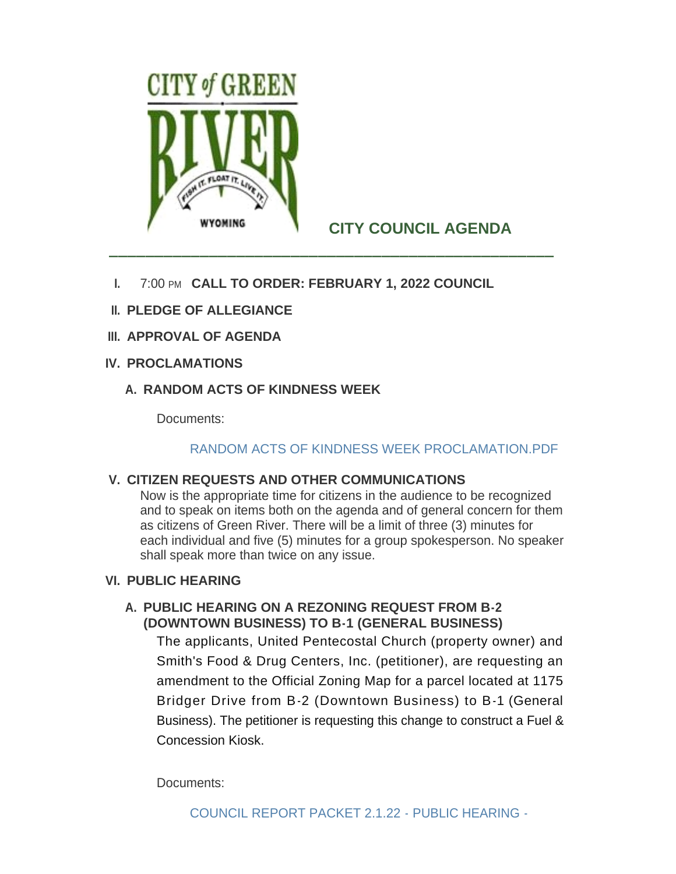

# **CITY COUNCIL AGENDA**

- **I.** 7:00 PM CALL TO ORDER: FEBRUARY 1, 2022 COUNCIL
- **PLEDGE OF ALLEGIANCE II.**
- **APPROVAL OF AGENDA III.**
- **PROCLAMATIONS IV.**
	- **RANDOM ACTS OF KINDNESS WEEK A.**

Documents:

# [RANDOM ACTS OF KINDNESS WEEK PROCLAMATION.PDF](http://cityofgreenriver.org/AgendaCenter/ViewFile/Item/7904?fileID=47818)

# **CITIZEN REQUESTS AND OTHER COMMUNICATIONS V.**

Now is the appropriate time for citizens in the audience to be recognized and to speak on items both on the agenda and of general concern for them as citizens of Green River. There will be a limit of three (3) minutes for each individual and five (5) minutes for a group spokesperson. No speaker shall speak more than twice on any issue.

# **PUBLIC HEARING VI.**

# **PUBLIC HEARING ON A REZONING REQUEST FROM B-2 A. (DOWNTOWN BUSINESS) TO B-1 (GENERAL BUSINESS)**

The applicants, United Pentecostal Church (property owner) and Smith's Food & Drug Centers, Inc. (petitioner), are requesting an amendment to the Official Zoning Map for a parcel located at 1175 Bridger Drive from B-2 (Downtown Business) to B-1 (General Business). The petitioner is requesting this change to construct a Fuel & Concession Kiosk.

Documents: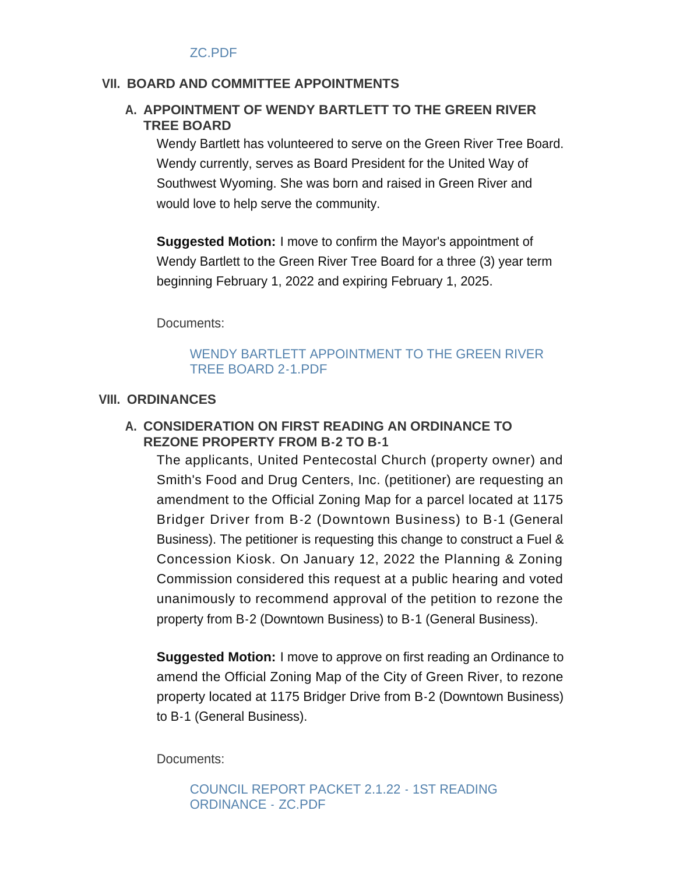#### ZC.PDF

#### **BOARD AND COMMITTEE APPOINTMENTS VII.**

### A. APPOINTMENT OF WENDY BARTLETT TO THE GREEN RIVER **TREE BOARD**

Wendy Bartlett has volunteered to serve on the Green River Tree Board. Wendy currently, serves as Board President for the United Way of Southwest Wyoming. She was born and raised in Green River and would love to help serve the community.

**Suggested Motion:** I move to confirm the Mayor's appointment of Wendy Bartlett to the Green River Tree Board for a three (3) year term beginning February 1, 2022 and expiring February 1, 2025.

Documents:

#### WENDY BARTLETT APPOINTMENT TO THE GREEN RIVER TREE BOARD 2-1.PDF

#### **ORDINANCES VIII.**

#### **CONSIDERATION ON FIRST READING AN ORDINANCE TO A. REZONE PROPERTY FROM B-2 TO B-1**

The applicants, United Pentecostal Church (property owner) and Smith's Food and Drug Centers, Inc. (petitioner) are requesting an amendment to the Official Zoning Map for a parcel located at 1175 Bridger Driver from B-2 (Downtown Business) to B-1 (General Business). The petitioner is requesting this change to construct a Fuel & Concession Kiosk. On January 12, 2022 the Planning & Zoning Commission considered this request at a public hearing and voted unanimously to recommend approval of the petition to rezone the property from B-2 (Downtown Business) to B-1 (General Business).

**Suggested Motion:** I move to approve on first reading an Ordinance to amend the Official Zoning Map of the City of Green River, to rezone property located at 1175 Bridger Drive from B-2 (Downtown Business) to B-1 (General Business).

Documents:

[COUNCIL REPORT PACKET 2.1.22 - 1ST READING](http://cityofgreenriver.org/AgendaCenter/ViewFile/Item/7908?fileID=48058)  ORDINANCE - ZC.PDF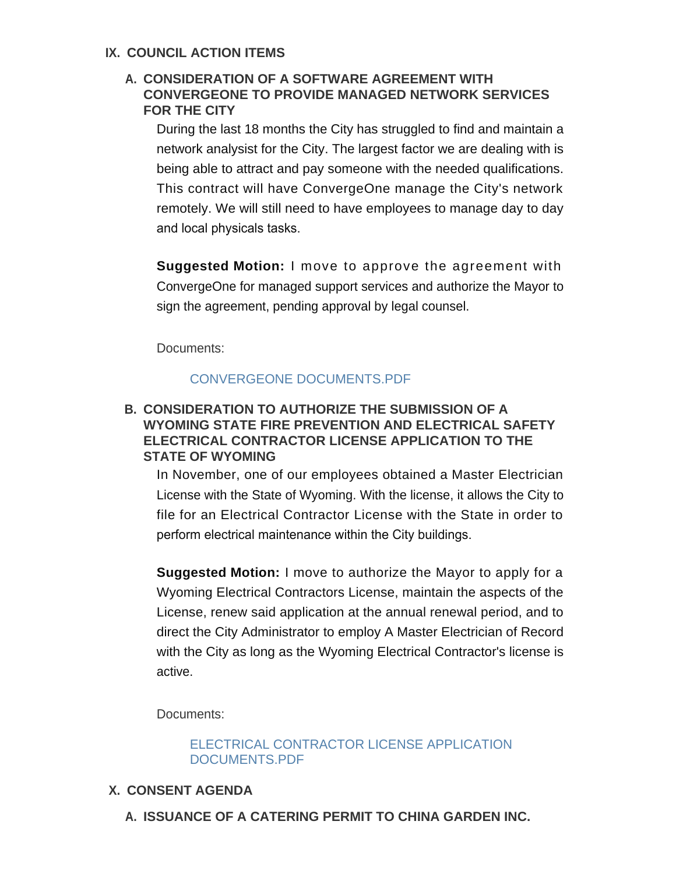### **IX. COUNCIL ACTION ITEMS**

# **CONSIDERATION OF A SOFTWARE AGREEMENT WITH A. CONVERGEONE TO PROVIDE MANAGED NETWORK SERVICES FOR THE CITY**

During the last 18 months the City has struggled to find and maintain a network analysist for the City. The largest factor we are dealing with is being able to attract and pay someone with the needed qualifications. This contract will have ConvergeOne manage the City's network remotely. We will still need to have employees to manage day to day and local physicals tasks.

**Suggested Motion:** I move to approve the agreement with ConvergeOne for managed support services and authorize the Mayor to sign the agreement, pending approval by legal counsel.

Documents:

# [CONVERGEONE DOCUMENTS.PDF](http://cityofgreenriver.org/AgendaCenter/ViewFile/Item/7918?fileID=48095)

# **CONSIDERATION TO AUTHORIZE THE SUBMISSION OF A B. WYOMING STATE FIRE PREVENTION AND ELECTRICAL SAFETY ELECTRICAL CONTRACTOR LICENSE APPLICATION TO THE STATE OF WYOMING**

In November, one of our employees obtained a Master Electrician License with the State of Wyoming. With the license, it allows the City to file for an Electrical Contractor License with the State in order to perform electrical maintenance within the City buildings.

**Suggested Motion:** I move to authorize the Mayor to apply for a Wyoming Electrical Contractors License, maintain the aspects of the License, renew said application at the annual renewal period, and to direct the City Administrator to employ A Master Electrician of Record with the City as long as the Wyoming Electrical Contractor's license is active.

Documents:

[ELECTRICAL CONTRACTOR LICENSE APPLICATION](http://cityofgreenriver.org/AgendaCenter/ViewFile/Item/7923?fileID=48100)  DOCUMENTS.PDF

# **CONSENT AGENDA X.**

**ISSUANCE OF A CATERING PERMIT TO CHINA GARDEN INC. A.**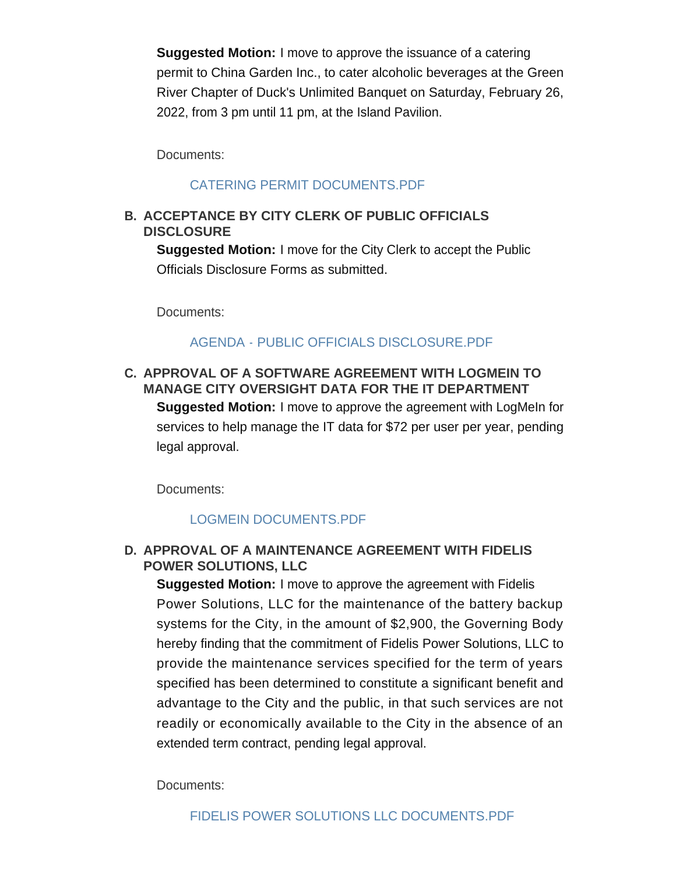**Suggested Motion:** I move to approve the issuance of a catering permit to China Garden Inc., to cater alcoholic beverages at the Green River Chapter of Duck's Unlimited Banquet on Saturday, February 26, 2022, from 3 pm until 11 pm, at the Island Pavilion.

Documents:

### [CATERING PERMIT DOCUMENTS.PDF](http://cityofgreenriver.org/AgendaCenter/ViewFile/Item/7916?fileID=48061)

# **ACCEPTANCE BY CITY CLERK OF PUBLIC OFFICIALS B. DISCLOSURE**

**Suggested Motion:** I move for the City Clerk to accept the Public Officials Disclosure Forms as submitted.

Documents:

### AGENDA - PUBLIC OFFICIALS DISCLOSURE PDF

# **APPROVAL OF A SOFTWARE AGREEMENT WITH LOGMEIN TO C. MANAGE CITY OVERSIGHT DATA FOR THE IT DEPARTMENT Suggested Motion:** I move to approve the agreement with LogMeIn for services to help manage the IT data for \$72 per user per year, pending legal approval.

Documents:

# [LOGMEIN DOCUMENTS.PDF](http://cityofgreenriver.org/AgendaCenter/ViewFile/Item/7909?fileID=48056)

# **APPROVAL OF A MAINTENANCE AGREEMENT WITH FIDELIS D. POWER SOLUTIONS, LLC**

**Suggested Motion:** I move to approve the agreement with Fidelis Power Solutions, LLC for the maintenance of the battery backup systems for the City, in the amount of \$2,900, the Governing Body hereby finding that the commitment of Fidelis Power Solutions, LLC to provide the maintenance services specified for the term of years specified has been determined to constitute a significant benefit and advantage to the City and the public, in that such services are not readily or economically available to the City in the absence of an extended term contract, pending legal approval.

Documents: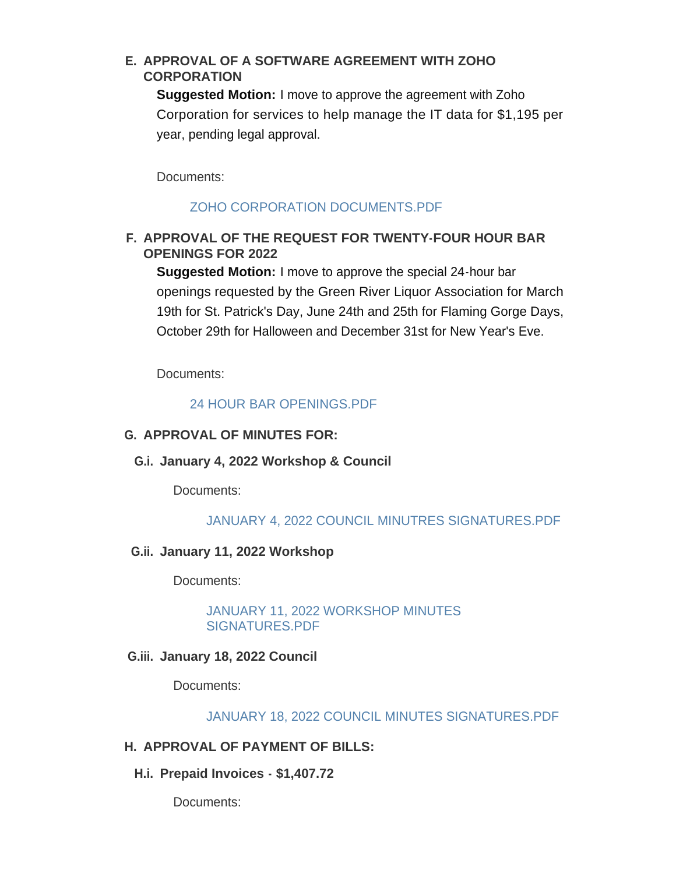# **APPROVAL OF A SOFTWARE AGREEMENT WITH ZOHO E. CORPORATION**

**Suggested Motion:** I move to approve the agreement with Zoho Corporation for services to help manage the IT data for \$1,195 per year, pending legal approval.

Documents:

# [ZOHO CORPORATION DOCUMENTS.PDF](http://cityofgreenriver.org/AgendaCenter/ViewFile/Item/7917?fileID=48082)

# **APPROVAL OF THE REQUEST FOR TWENTY-FOUR HOUR BAR F. OPENINGS FOR 2022**

**Suggested Motion:** I move to approve the special 24-hour bar openings requested by the Green River Liquor Association for March 19th for St. Patrick's Day, June 24th and 25th for Flaming Gorge Days, October 29th for Halloween and December 31st for New Year's Eve.

Documents:

### [24 HOUR BAR OPENINGS.PDF](http://cityofgreenriver.org/AgendaCenter/ViewFile/Item/7906?fileID=48060)

### **APPROVAL OF MINUTES FOR: G.**

**January 4, 2022 Workshop & Council G.i.**

Documents:

#### [JANUARY 4, 2022 COUNCIL MINUTRES SIGNATURES.PDF](http://cityofgreenriver.org/AgendaCenter/ViewFile/Item/7913?fileID=48052)

### **January 11, 2022 Workshop G.ii.**

Documents:

[JANUARY 11, 2022 WORKSHOP MINUTES](http://cityofgreenriver.org/AgendaCenter/ViewFile/Item/7914?fileID=48053)  SIGNATURES.PDF

### **January 18, 2022 Council G.iii.**

Documents:

#### [JANUARY 18, 2022 COUNCIL MINUTES SIGNATURES.PDF](http://cityofgreenriver.org/AgendaCenter/ViewFile/Item/7915?fileID=48054)

### **APPROVAL OF PAYMENT OF BILLS: H.**

**Prepaid Invoices - \$1,407.72 H.i.**

Documents: